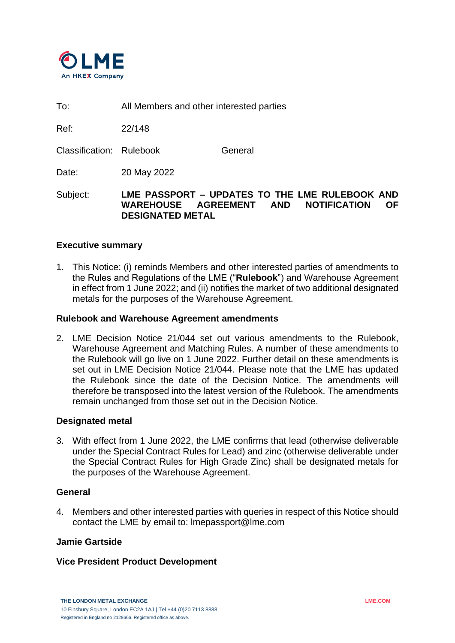

To: All Members and other interested parties

Ref: 22/148

Classification: Rulebook General

Date: 20 May 2022

Subject: **LME PASSPORT – UPDATES TO THE LME RULEBOOK AND WAREHOUSE AGREEMENT AND NOTIFICATION OF DESIGNATED METAL**

# **Executive summary**

1. This Notice: (i) reminds Members and other interested parties of amendments to the Rules and Regulations of the LME ("**Rulebook**") and Warehouse Agreement in effect from 1 June 2022; and (ii) notifies the market of two additional designated metals for the purposes of the Warehouse Agreement.

## **Rulebook and Warehouse Agreement amendments**

2. LME Decision Notice 21/044 set out various amendments to the Rulebook, Warehouse Agreement and Matching Rules. A number of these amendments to the Rulebook will go live on 1 June 2022. Further detail on these amendments is set out in LME Decision Notice 21/044. Please note that the LME has updated the Rulebook since the date of the Decision Notice. The amendments will therefore be transposed into the latest version of the Rulebook. The amendments remain unchanged from those set out in the Decision Notice.

# **Designated metal**

3. With effect from 1 June 2022, the LME confirms that lead (otherwise deliverable under the Special Contract Rules for Lead) and zinc (otherwise deliverable under the Special Contract Rules for High Grade Zinc) shall be designated metals for the purposes of the Warehouse Agreement.

#### **General**

4. Members and other interested parties with queries in respect of this Notice should contact the LME by email to: lmepassport@lme.com

## **Jamie Gartside**

# **Vice President Product Development**